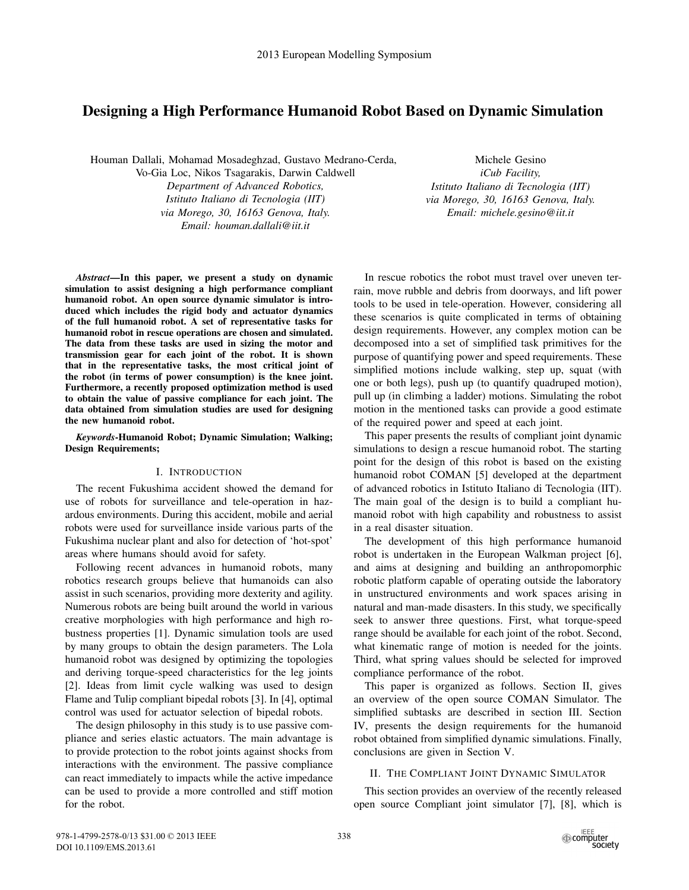# Designing a High Performance Humanoid Robot Based on Dynamic Simulation

Houman Dallali, Mohamad Mosadeghzad, Gustavo Medrano-Cerda,

Vo-Gia Loc, Nikos Tsagarakis, Darwin Caldwell *Department of Advanced Robotics, Istituto Italiano di Tecnologia (IIT) via Morego, 30, 16163 Genova, Italy. Email: houman.dallali@iit.it*

*Abstract*—In this paper, we present a study on dynamic simulation to assist designing a high performance compliant humanoid robot. An open source dynamic simulator is introduced which includes the rigid body and actuator dynamics of the full humanoid robot. A set of representative tasks for humanoid robot in rescue operations are chosen and simulated. The data from these tasks are used in sizing the motor and transmission gear for each joint of the robot. It is shown that in the representative tasks, the most critical joint of the robot (in terms of power consumption) is the knee joint. Furthermore, a recently proposed optimization method is used to obtain the value of passive compliance for each joint. The data obtained from simulation studies are used for designing the new humanoid robot.

#### *Keywords*-Humanoid Robot; Dynamic Simulation; Walking; Design Requirements;

## I. INTRODUCTION

The recent Fukushima accident showed the demand for use of robots for surveillance and tele-operation in hazardous environments. During this accident, mobile and aerial robots were used for surveillance inside various parts of the Fukushima nuclear plant and also for detection of 'hot-spot' areas where humans should avoid for safety.

Following recent advances in humanoid robots, many robotics research groups believe that humanoids can also assist in such scenarios, providing more dexterity and agility. Numerous robots are being built around the world in various creative morphologies with high performance and high robustness properties [1]. Dynamic simulation tools are used by many groups to obtain the design parameters. The Lola humanoid robot was designed by optimizing the topologies and deriving torque-speed characteristics for the leg joints [2]. Ideas from limit cycle walking was used to design Flame and Tulip compliant bipedal robots [3]. In [4], optimal control was used for actuator selection of bipedal robots.

The design philosophy in this study is to use passive compliance and series elastic actuators. The main advantage is to provide protection to the robot joints against shocks from interactions with the environment. The passive compliance can react immediately to impacts while the active impedance can be used to provide a more controlled and stiff motion for the robot.

Michele Gesino *iCub Facility, Istituto Italiano di Tecnologia (IIT) via Morego, 30, 16163 Genova, Italy. Email: michele.gesino@iit.it*

In rescue robotics the robot must travel over uneven terrain, move rubble and debris from doorways, and lift power tools to be used in tele-operation. However, considering all these scenarios is quite complicated in terms of obtaining design requirements. However, any complex motion can be decomposed into a set of simplified task primitives for the purpose of quantifying power and speed requirements. These simplified motions include walking, step up, squat (with one or both legs), push up (to quantify quadruped motion), pull up (in climbing a ladder) motions. Simulating the robot motion in the mentioned tasks can provide a good estimate of the required power and speed at each joint.

This paper presents the results of compliant joint dynamic simulations to design a rescue humanoid robot. The starting point for the design of this robot is based on the existing humanoid robot COMAN [5] developed at the department of advanced robotics in Istituto Italiano di Tecnologia (IIT). The main goal of the design is to build a compliant humanoid robot with high capability and robustness to assist in a real disaster situation.

The development of this high performance humanoid robot is undertaken in the European Walkman project [6], and aims at designing and building an anthropomorphic robotic platform capable of operating outside the laboratory in unstructured environments and work spaces arising in natural and man-made disasters. In this study, we specifically seek to answer three questions. First, what torque-speed range should be available for each joint of the robot. Second, what kinematic range of motion is needed for the joints. Third, what spring values should be selected for improved compliance performance of the robot.

This paper is organized as follows. Section II, gives an overview of the open source COMAN Simulator. The simplified subtasks are described in section III. Section IV, presents the design requirements for the humanoid robot obtained from simplified dynamic simulations. Finally, conclusions are given in Section V.

# II. THE COMPLIANT JOINT DYNAMIC SIMULATOR

This section provides an overview of the recently released open source Compliant joint simulator [7], [8], which is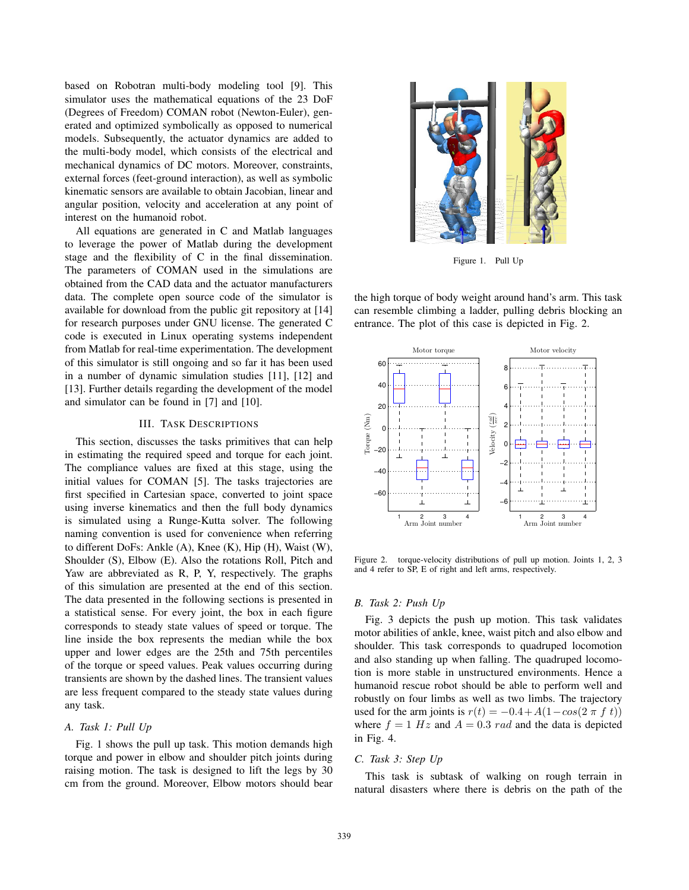based on Robotran multi-body modeling tool [9]. This simulator uses the mathematical equations of the 23 DoF (Degrees of Freedom) COMAN robot (Newton-Euler), generated and optimized symbolically as opposed to numerical models. Subsequently, the actuator dynamics are added to the multi-body model, which consists of the electrical and mechanical dynamics of DC motors. Moreover, constraints, external forces (feet-ground interaction), as well as symbolic kinematic sensors are available to obtain Jacobian, linear and angular position, velocity and acceleration at any point of interest on the humanoid robot.

All equations are generated in C and Matlab languages to leverage the power of Matlab during the development stage and the flexibility of C in the final dissemination. The parameters of COMAN used in the simulations are obtained from the CAD data and the actuator manufacturers data. The complete open source code of the simulator is available for download from the public git repository at [14] for research purposes under GNU license. The generated C code is executed in Linux operating systems independent from Matlab for real-time experimentation. The development of this simulator is still ongoing and so far it has been used in a number of dynamic simulation studies [11], [12] and [13]. Further details regarding the development of the model and simulator can be found in [7] and [10].

#### III. TASK DESCRIPTIONS

This section, discusses the tasks primitives that can help in estimating the required speed and torque for each joint. The compliance values are fixed at this stage, using the initial values for COMAN [5]. The tasks trajectories are first specified in Cartesian space, converted to joint space using inverse kinematics and then the full body dynamics is simulated using a Runge-Kutta solver. The following naming convention is used for convenience when referring to different DoFs: Ankle (A), Knee (K), Hip (H), Waist (W), Shoulder (S), Elbow (E). Also the rotations Roll, Pitch and Yaw are abbreviated as R, P, Y, respectively. The graphs of this simulation are presented at the end of this section. The data presented in the following sections is presented in a statistical sense. For every joint, the box in each figure corresponds to steady state values of speed or torque. The line inside the box represents the median while the box upper and lower edges are the 25th and 75th percentiles of the torque or speed values. Peak values occurring during transients are shown by the dashed lines. The transient values are less frequent compared to the steady state values during any task.

#### *A. Task 1: Pull Up*

Fig. 1 shows the pull up task. This motion demands high torque and power in elbow and shoulder pitch joints during raising motion. The task is designed to lift the legs by 30 cm from the ground. Moreover, Elbow motors should bear



Figure 1. Pull Up

the high torque of body weight around hand's arm. This task can resemble climbing a ladder, pulling debris blocking an entrance. The plot of this case is depicted in Fig. 2.



Figure 2. torque-velocity distributions of pull up motion. Joints 1, 2, 3 and 4 refer to SP, E of right and left arms, respectively.

#### *B. Task 2: Push Up*

Fig. 3 depicts the push up motion. This task validates motor abilities of ankle, knee, waist pitch and also elbow and shoulder. This task corresponds to quadruped locomotion and also standing up when falling. The quadruped locomotion is more stable in unstructured environments. Hence a humanoid rescue robot should be able to perform well and robustly on four limbs as well as two limbs. The trajectory used for the arm joints is  $r(t) = -0.4 + A(1 - \cos(2 \pi f t))$ where  $f = 1$  Hz and  $A = 0.3$  rad and the data is depicted in Fig. 4.

# *C. Task 3: Step Up*

This task is subtask of walking on rough terrain in natural disasters where there is debris on the path of the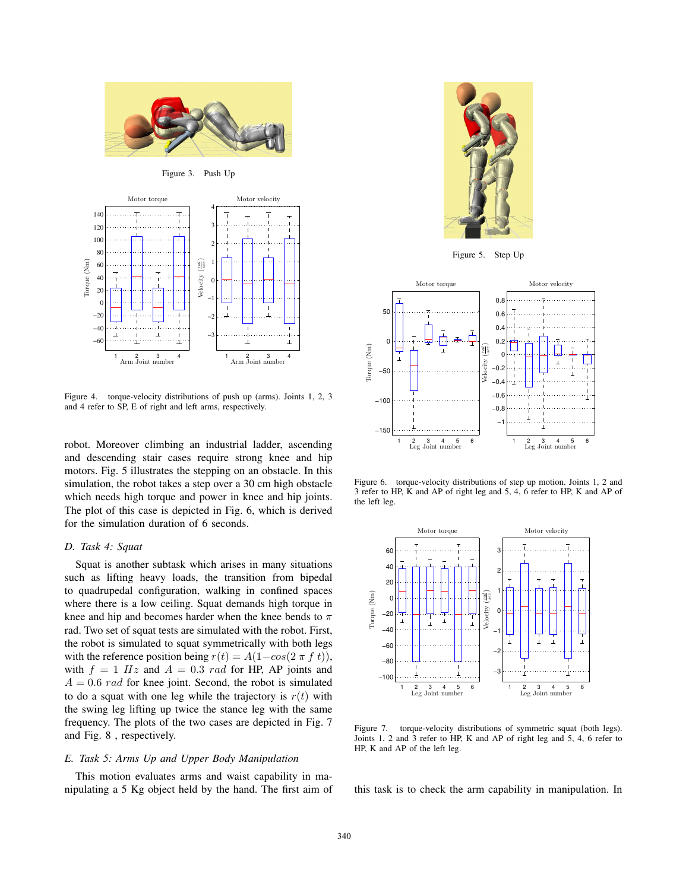

Figure 3. Push Up



Figure 4. torque-velocity distributions of push up (arms). Joints 1, 2, 3 and 4 refer to SP, E of right and left arms, respectively.

robot. Moreover climbing an industrial ladder, ascending and descending stair cases require strong knee and hip motors. Fig. 5 illustrates the stepping on an obstacle. In this simulation, the robot takes a step over a 30 cm high obstacle which needs high torque and power in knee and hip joints. The plot of this case is depicted in Fig. 6, which is derived for the simulation duration of 6 seconds.

#### *D. Task 4: Squat*

Squat is another subtask which arises in many situations such as lifting heavy loads, the transition from bipedal to quadrupedal configuration, walking in confined spaces where there is a low ceiling. Squat demands high torque in knee and hip and becomes harder when the knee bends to  $\pi$ rad. Two set of squat tests are simulated with the robot. First, the robot is simulated to squat symmetrically with both legs with the reference position being  $r(t) = A(1-cos(2 \pi f t)),$ with  $f = 1$  Hz and  $A = 0.3$  rad for HP, AP joints and  $A = 0.6$  rad for knee joint. Second, the robot is simulated to do a squat with one leg while the trajectory is  $r(t)$  with the swing leg lifting up twice the stance leg with the same frequency. The plots of the two cases are depicted in Fig. 7 and Fig. 8 , respectively.

# *E. Task 5: Arms Up and Upper Body Manipulation*

This motion evaluates arms and waist capability in manipulating a 5 Kg object held by the hand. The first aim of



Figure 5. Step Up



Figure 6. torque-velocity distributions of step up motion. Joints 1, 2 and 3 refer to HP, K and AP of right leg and 5, 4, 6 refer to HP, K and AP of the left leg.



Figure 7. torque-velocity distributions of symmetric squat (both legs). Joints 1, 2 and 3 refer to HP, K and AP of right leg and 5, 4, 6 refer to HP, K and AP of the left leg.

this task is to check the arm capability in manipulation. In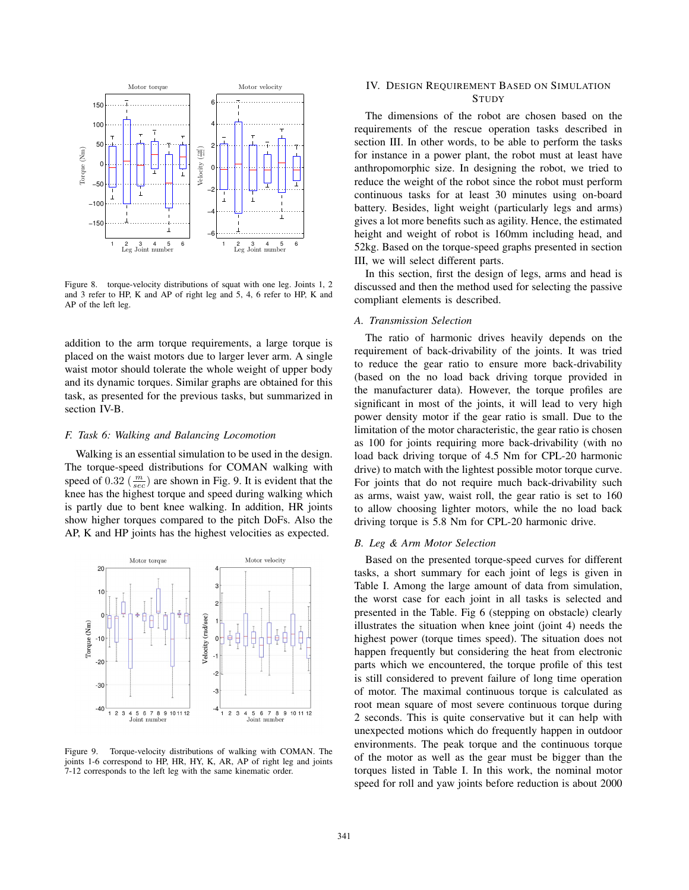

Figure 8. torque-velocity distributions of squat with one leg. Joints 1, 2 and 3 refer to HP, K and AP of right leg and 5, 4, 6 refer to HP, K and AP of the left leg.

addition to the arm torque requirements, a large torque is placed on the waist motors due to larger lever arm. A single waist motor should tolerate the whole weight of upper body and its dynamic torques. Similar graphs are obtained for this task, as presented for the previous tasks, but summarized in section IV-B.

#### *F. Task 6: Walking and Balancing Locomotion*

Walking is an essential simulation to be used in the design. The torque-speed distributions for COMAN walking with speed of  $0.32\left(\frac{m}{sec}\right)$  are shown in Fig. 9. It is evident that the knee has the highest torque and speed during walking which is partly due to bent knee walking. In addition, HR joints show higher torques compared to the pitch DoFs. Also the AP, K and HP joints has the highest velocities as expected.



Figure 9. Torque-velocity distributions of walking with COMAN. The joints 1-6 correspond to HP, HR, HY, K, AR, AP of right leg and joints 7-12 corresponds to the left leg with the same kinematic order.

# IV. DESIGN REQUIREMENT BASED ON SIMULATION **STUDY**

The dimensions of the robot are chosen based on the requirements of the rescue operation tasks described in section III. In other words, to be able to perform the tasks for instance in a power plant, the robot must at least have anthropomorphic size. In designing the robot, we tried to reduce the weight of the robot since the robot must perform continuous tasks for at least 30 minutes using on-board battery. Besides, light weight (particularly legs and arms) gives a lot more benefits such as agility. Hence, the estimated height and weight of robot is 160mm including head, and 52kg. Based on the torque-speed graphs presented in section III, we will select different parts.

In this section, first the design of legs, arms and head is discussed and then the method used for selecting the passive compliant elements is described.

### *A. Transmission Selection*

The ratio of harmonic drives heavily depends on the requirement of back-drivability of the joints. It was tried to reduce the gear ratio to ensure more back-drivability (based on the no load back driving torque provided in the manufacturer data). However, the torque profiles are significant in most of the joints, it will lead to very high power density motor if the gear ratio is small. Due to the limitation of the motor characteristic, the gear ratio is chosen as 100 for joints requiring more back-drivability (with no load back driving torque of 4.5 Nm for CPL-20 harmonic drive) to match with the lightest possible motor torque curve. For joints that do not require much back-drivability such as arms, waist yaw, waist roll, the gear ratio is set to 160 to allow choosing lighter motors, while the no load back driving torque is 5.8 Nm for CPL-20 harmonic drive.

### *B. Leg & Arm Motor Selection*

Based on the presented torque-speed curves for different tasks, a short summary for each joint of legs is given in Table I. Among the large amount of data from simulation, the worst case for each joint in all tasks is selected and presented in the Table. Fig 6 (stepping on obstacle) clearly illustrates the situation when knee joint (joint 4) needs the highest power (torque times speed). The situation does not happen frequently but considering the heat from electronic parts which we encountered, the torque profile of this test is still considered to prevent failure of long time operation of motor. The maximal continuous torque is calculated as root mean square of most severe continuous torque during 2 seconds. This is quite conservative but it can help with unexpected motions which do frequently happen in outdoor environments. The peak torque and the continuous torque of the motor as well as the gear must be bigger than the torques listed in Table I. In this work, the nominal motor speed for roll and yaw joints before reduction is about 2000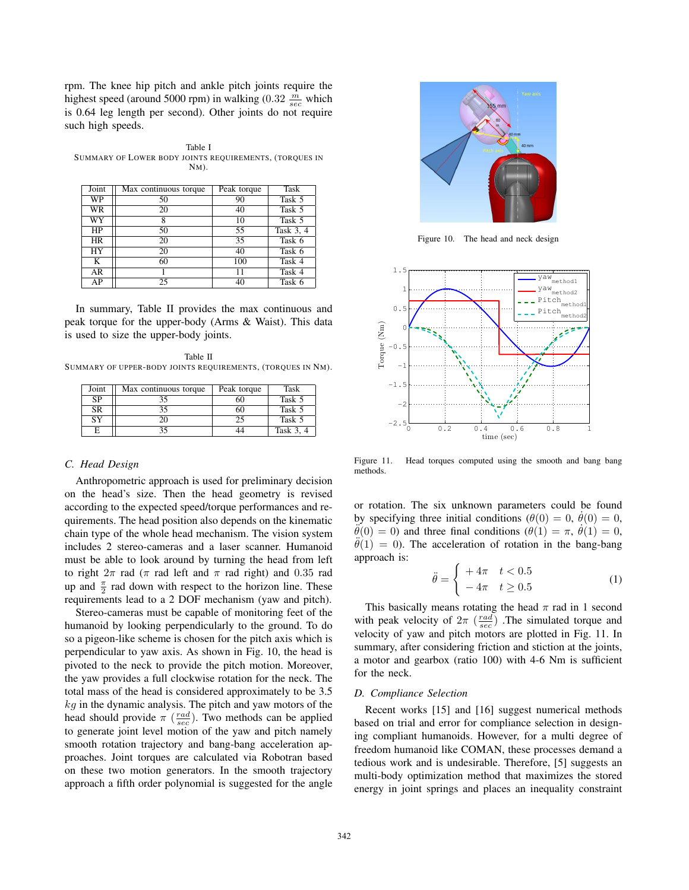rpm. The knee hip pitch and ankle pitch joints require the highest speed (around 5000 rpm) in walking (0.32  $\frac{m}{\text{sec}}$  which is 0.64 leg length per second). Other joints do not require such high speeds.

| Table I                                                |  |
|--------------------------------------------------------|--|
| Summary of Lower body joints requirements, (torques in |  |
| $NM$ ).                                                |  |

| Joint | Max continuous torque | Peak torque | Task      |
|-------|-----------------------|-------------|-----------|
| WP    | 50                    | 90          | Task 5    |
| WR    | 20                    | 40          | Task 5    |
| WY    | 8                     | 10          | Task 5    |
| HP    | 50                    | 55          | Task 3, 4 |
| HR    | 20                    | 35          | Task 6    |
| HY    | 20                    | 40          | Task 6    |
| K     | 60                    | 100         | Task 4    |
| AR    |                       | 11          | Task 4    |
| AP    | 25                    | 40          | Task 6    |

In summary, Table II provides the max continuous and peak torque for the upper-body (Arms & Waist). This data is used to size the upper-body joints.

Table II SUMMARY OF UPPER-BODY JOINTS REQUIREMENTS, (TORQUES IN NM).

| Joint     | Max continuous torque | Peak torque | Task      |
|-----------|-----------------------|-------------|-----------|
| <b>SP</b> | 35                    | 60          | Task 5    |
| SR.       | 35                    | 60          | Task 5    |
| SY        | 20                    | 25          | Task 5    |
|           | 35                    |             | Task 3, 4 |

# *C. Head Design*

Anthropometric approach is used for preliminary decision on the head's size. Then the head geometry is revised according to the expected speed/torque performances and requirements. The head position also depends on the kinematic chain type of the whole head mechanism. The vision system includes 2 stereo-cameras and a laser scanner. Humanoid must be able to look around by turning the head from left to right  $2\pi$  rad ( $\pi$  rad left and  $\pi$  rad right) and 0.35 rad up and  $\frac{\pi}{2}$  rad down with respect to the horizon line. These requirements lead to a 2 DOF mechanism (yaw and pitch).

Stereo-cameras must be capable of monitoring feet of the humanoid by looking perpendicularly to the ground. To do so a pigeon-like scheme is chosen for the pitch axis which is perpendicular to yaw axis. As shown in Fig. 10, the head is pivoted to the neck to provide the pitch motion. Moreover, the yaw provides a full clockwise rotation for the neck. The total mass of the head is considered approximately to be 3.5  $kg$  in the dynamic analysis. The pitch and yaw motors of the head should provide  $\pi\left(\frac{rad}{sec}\right)$ . Two methods can be applied to generate joint level motion of the yaw and pitch namely smooth rotation trajectory and bang-bang acceleration approaches. Joint torques are calculated via Robotran based on these two motion generators. In the smooth trajectory approach a fifth order polynomial is suggested for the angle



Figure 10. The head and neck design



Figure 11. Head torques computed using the smooth and bang bang methods.

or rotation. The six unknown parameters could be found by specifying three initial conditions  $(\theta(0) = 0, \dot{\theta}(0) = 0,$ by specifying three initial conditions  $(\theta(0) = 0, \theta(0) = 0, \dot{\theta}(0) = 0)$  and three final conditions  $(\theta(1) = \pi, \dot{\theta}(1) = 0, \dot{\theta}(1) = 0)$  $\theta(0) = 0$ ) and three final conditions  $(\theta(1) = \pi, \theta(1) = 0,$ <br> $\ddot{\theta}(1) = 0$ ). The acceleration of rotation in the bang-bang approach is:

$$
\ddot{\theta} = \begin{cases} +4\pi & t < 0.5 \\ -4\pi & t \ge 0.5 \end{cases} \tag{1}
$$

This basically means rotating the head  $\pi$  rad in 1 second with peak velocity of  $2\pi \left(\frac{rad}{sec}\right)$ . The simulated torque and velocity of yaw and pitch motors are plotted in Fig. 11. In summary, after considering friction and stiction at the joints, a motor and gearbox (ratio 100) with 4-6 Nm is sufficient for the neck.

#### *D. Compliance Selection*

Recent works [15] and [16] suggest numerical methods based on trial and error for compliance selection in designing compliant humanoids. However, for a multi degree of freedom humanoid like COMAN, these processes demand a tedious work and is undesirable. Therefore, [5] suggests an multi-body optimization method that maximizes the stored energy in joint springs and places an inequality constraint